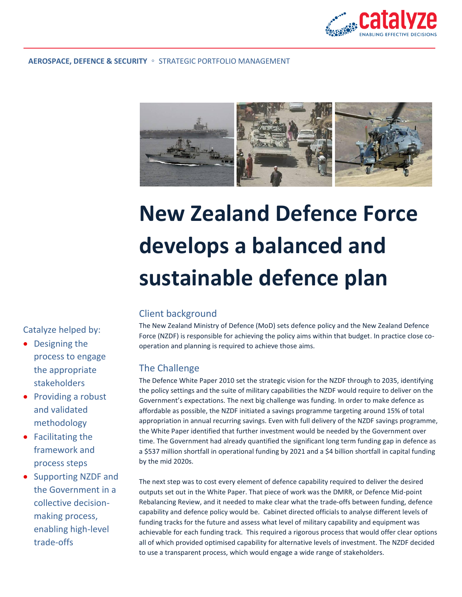

#### **AEROSPACE, DEFENCE & SECURITY** ◦ STRATEGIC PORTFOLIO MANAGEMENT



# **New Zealand Defence Force develops a balanced and sustainable defence plan**

#### Client background

The New Zealand Ministry of Defence (MoD) sets defence policy and the New Zealand Defence Force (NZDF) is responsible for achieving the policy aims within that budget. In practice close cooperation and planning is required to achieve those aims.

### The Challenge

The Defence White Paper 2010 set the strategic vision for the NZDF through to 2035, identifying the policy settings and the suite of military capabilities the NZDF would require to deliver on the Government's expectations. The next big challenge was funding. In order to make defence as affordable as possible, the NZDF initiated a savings programme targeting around 15% of total appropriation in annual recurring savings. Even with full delivery of the NZDF savings programme, the White Paper identified that further investment would be needed by the Government over time. The Government had already quantified the significant long term funding gap in defence as a \$537 million shortfall in operational funding by 2021 and a \$4 billion shortfall in capital funding by the mid 2020s.

The next step was to cost every element of defence capability required to deliver the desired outputs set out in the White Paper. That piece of work was the DMRR, or Defence Mid-point Rebalancing Review, and it needed to make clear what the trade-offs between funding, defence capability and defence policy would be. Cabinet directed officials to analyse different levels of funding tracks for the future and assess what level of military capability and equipment was achievable for each funding track. This required a rigorous process that would offer clear options all of which provided optimised capability for alternative levels of investment. The NZDF decided to use a transparent process, which would engage a wide range of stakeholders.

Catalyze helped by:

- Designing the process to engage the appropriate stakeholders
- Providing a robust and validated methodology
- Facilitating the framework and process steps
- Supporting NZDF and the Government in a collective decisionmaking process, enabling high-level trade-offs